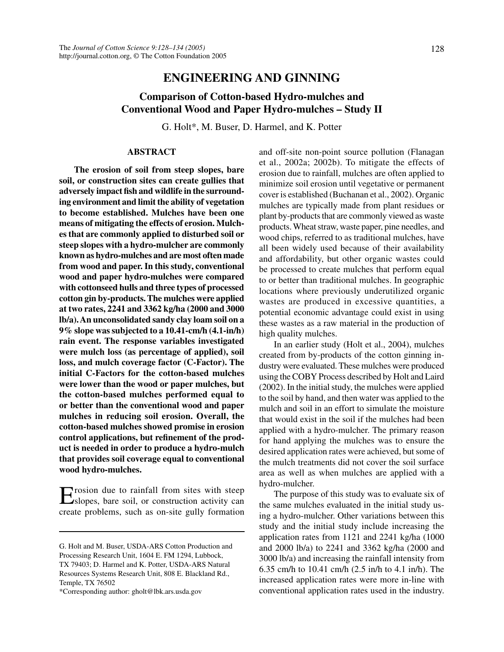## **ENGINEERING AND GINNING**

# **Comparison of Cotton-based Hydro-mulches and Conventional Wood and Paper Hydro-mulches – Study II**

G. Holt\*, M. Buser, D. Harmel, and K. Potter

## **ABSTRACT**

**The erosion of soil from steep slopes, bare soil, or construction sites can create gullies that adversely impact fish and wildlife in the surrounding environment and limit the ability of vegetation to become established. Mulches have been one means of mitigating the effects of erosion. Mulches that are commonly applied to disturbed soil or steep slopes with a hydro-mulcher are commonly known as hydro-mulches and are most often made from wood and paper. In this study, conventional wood and paper hydro-mulches were compared with cottonseed hulls and three types of processed cotton gin by-products. The mulches were applied at two rates, 2241 and 3362 kg/ha (2000 and 3000 lb/a). An unconsolidated sandy clay loam soil on a 9% slope was subjected to a 10.41-cm/h (4.1-in/h) rain event. The response variables investigated were mulch loss (as percentage of applied), soil loss, and mulch coverage factor (C-Factor). The initial C-Factors for the cotton-based mulches were lower than the wood or paper mulches, but the cotton-based mulches performed equal to or better than the conventional wood and paper mulches in reducing soil erosion. Overall, the cotton-based mulches showed promise in erosion control applications, but refinement of the product is needed in order to produce a hydro-mulch that provides soil coverage equal to conventional wood hydro-mulches.**

Erosion due to rainfall from sites with steep slopes, bare soil, or construction activity can create problems, such as on-site gully formation

\*Corresponding author: gholt@lbk.ars.usda.gov

and off-site non-point source pollution (Flanagan et al., 2002a; 2002b). To mitigate the effects of erosion due to rainfall, mulches are often applied to minimize soil erosion until vegetative or permanent cover is established (Buchanan et al., 2002). Organic mulches are typically made from plant residues or plant by-products that are commonly viewed as waste products. Wheat straw, waste paper, pine needles, and wood chips, referred to as traditional mulches, have all been widely used because of their availability and affordability, but other organic wastes could be processed to create mulches that perform equal to or better than traditional mulches. In geographic locations where previously underutilized organic wastes are produced in excessive quantities, a potential economic advantage could exist in using these wastes as a raw material in the production of high quality mulches.

In an earlier study (Holt et al., 2004), mulches created from by-products of the cotton ginning industry were evaluated. These mulches were produced using the COBY Process described by Holt and Laird (2002). In the initial study, the mulches were applied to the soil by hand, and then water was applied to the mulch and soil in an effort to simulate the moisture that would exist in the soil if the mulches had been applied with a hydro-mulcher. The primary reason for hand applying the mulches was to ensure the desired application rates were achieved, but some of the mulch treatments did not cover the soil surface area as well as when mulches are applied with a hydro-mulcher.

The purpose of this study was to evaluate six of the same mulches evaluated in the initial study using a hydro-mulcher. Other variations between this study and the initial study include increasing the application rates from 1121 and 2241 kg/ha (1000 and 2000 lb/a) to 2241 and 3362 kg/ha (2000 and 3000 lb/a) and increasing the rainfall intensity from 6.35 cm/h to 10.41 cm/h (2.5 in/h to 4.1 in/h). The increased application rates were more in-line with conventional application rates used in the industry.

G. Holt and M. Buser, USDA-ARS Cotton Production and Processing Research Unit, 1604 E. FM 1294, Lubbock, TX 79403; D. Harmel and K. Potter, USDA-ARS Natural Resources Systems Research Unit, 808 E. Blackland Rd., Temple, TX 76502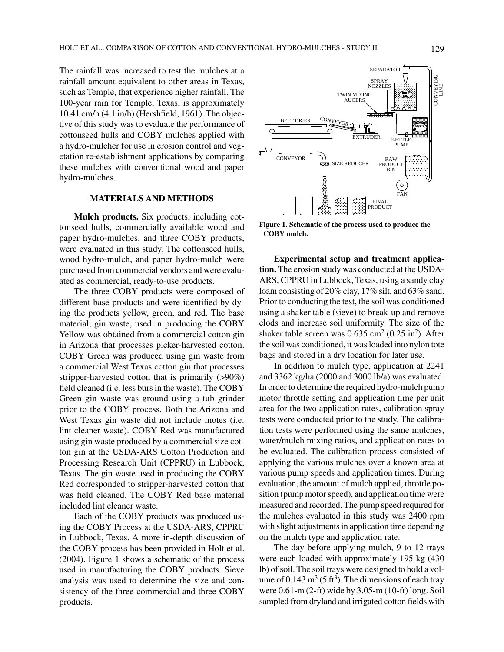The rainfall was increased to test the mulches at a rainfall amount equivalent to other areas in Texas, such as Temple, that experience higher rainfall. The 100-year rain for Temple, Texas, is approximately 10.41 cm/h (4.1 in/h) (Hershfield, 1961). The objective of this study was to evaluate the performance of cottonseed hulls and COBY mulches applied with a hydro-mulcher for use in erosion control and vegetation re-establishment applications by comparing these mulches with conventional wood and paper hydro-mulches.

## **MATERIALS AND METHODS**

**Mulch products.** Six products, including cottonseed hulls, commercially available wood and paper hydro-mulches, and three COBY products, were evaluated in this study. The cottonseed hulls, wood hydro-mulch, and paper hydro-mulch were purchased from commercial vendors and were evaluated as commercial, ready-to-use products.

The three COBY products were composed of different base products and were identified by dying the products yellow, green, and red. The base material, gin waste, used in producing the COBY Yellow was obtained from a commercial cotton gin in Arizona that processes picker-harvested cotton. COBY Green was produced using gin waste from a commercial West Texas cotton gin that processes stripper-harvested cotton that is primarily (>90%) field cleaned (i.e. less burs in the waste). The COBY Green gin waste was ground using a tub grinder prior to the COBY process. Both the Arizona and West Texas gin waste did not include motes (i.e. lint cleaner waste). COBY Red was manufactured using gin waste produced by a commercial size cotton gin at the USDA-ARS Cotton Production and Processing Research Unit (CPPRU) in Lubbock, Texas. The gin waste used in producing the COBY Red corresponded to stripper-harvested cotton that was field cleaned. The COBY Red base material included lint cleaner waste.

Each of the COBY products was produced using the COBY Process at the USDA-ARS, CPPRU in Lubbock, Texas. A more in-depth discussion of the COBY process has been provided in Holt et al. (2004). Figure 1 shows a schematic of the process used in manufacturing the COBY products. Sieve analysis was used to determine the size and consistency of the three commercial and three COBY products.



**Figure 1. Schematic of the process used to produce the COBY mulch.**

**Experimental setup and treatment application.** The erosion study was conducted at the USDA-ARS, CPPRU in Lubbock, Texas, using a sandy clay loam consisting of 20% clay, 17% silt, and 63% sand. Prior to conducting the test, the soil was conditioned using a shaker table (sieve) to break-up and remove clods and increase soil uniformity. The size of the shaker table screen was  $0.635 \text{ cm}^2 (0.25 \text{ in}^2)$ . After the soil was conditioned, it was loaded into nylon tote bags and stored in a dry location for later use.

In addition to mulch type, application at 2241 and 3362 kg/ha (2000 and 3000 lb/a) was evaluated. In order to determine the required hydro-mulch pump motor throttle setting and application time per unit area for the two application rates, calibration spray tests were conducted prior to the study. The calibration tests were performed using the same mulches, water/mulch mixing ratios, and application rates to be evaluated. The calibration process consisted of applying the various mulches over a known area at various pump speeds and application times. During evaluation, the amount of mulch applied, throttle position (pump motor speed), and application time were measured and recorded. The pump speed required for the mulches evaluated in this study was 2400 rpm with slight adjustments in application time depending on the mulch type and application rate.

The day before applying mulch, 9 to 12 trays were each loaded with approximately 195 kg (430 lb) of soil. The soil trays were designed to hold a volume of 0.143  $\text{m}^3$  (5 ft<sup>3</sup>). The dimensions of each tray were 0.61-m (2-ft) wide by 3.05-m (10-ft) long. Soil sampled from dryland and irrigated cotton fields with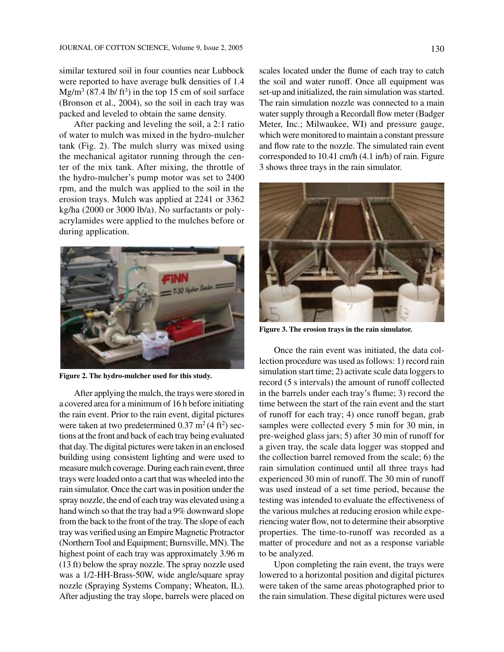similar textured soil in four counties near Lubbock were reported to have average bulk densities of 1.4  $Mg/m<sup>3</sup>$  (87.4 lb/ ft<sup>3</sup>) in the top 15 cm of soil surface (Bronson et al., 2004), so the soil in each tray was packed and leveled to obtain the same density.

After packing and leveling the soil, a 2:1 ratio of water to mulch was mixed in the hydro-mulcher tank (Fig. 2). The mulch slurry was mixed using the mechanical agitator running through the center of the mix tank. After mixing, the throttle of the hydro-mulcher's pump motor was set to 2400 rpm, and the mulch was applied to the soil in the erosion trays. Mulch was applied at 2241 or 3362 kg/ha (2000 or 3000 lb/a). No surfactants or polyacrylamides were applied to the mulches before or during application.



**Figure 2. The hydro-mulcher used for this study.**

After applying the mulch, the trays were stored in a covered area for a minimum of 16 h before initiating the rain event. Prior to the rain event, digital pictures were taken at two predetermined  $0.37 \text{ m}^2 (4 \text{ ft}^2) \text{ sec}$ tions at the front and back of each tray being evaluated that day. The digital pictures were taken in an enclosed building using consistent lighting and were used to measure mulch coverage. During each rain event, three trays were loaded onto a cart that was wheeled into the rain simulator. Once the cart was in position under the spray nozzle, the end of each tray was elevated using a hand winch so that the tray had a 9% downward slope from the back to the front of the tray. The slope of each tray was verified using an Empire Magnetic Protractor (Northern Tool and Equipment; Burnsville, MN). The highest point of each tray was approximately 3.96 m (13 ft) below the spray nozzle. The spray nozzle used was a 1/2-HH-Brass-50W, wide angle/square spray nozzle (Spraying Systems Company; Wheaton, IL). After adjusting the tray slope, barrels were placed on scales located under the flume of each tray to catch the soil and water runoff. Once all equipment was set-up and initialized, the rain simulation was started. The rain simulation nozzle was connected to a main water supply through a Recordall flow meter (Badger Meter, Inc.; Milwaukee, WI) and pressure gauge, which were monitored to maintain a constant pressure and flow rate to the nozzle. The simulated rain event corresponded to 10.41 cm/h (4.1 in/h) of rain. Figure 3 shows three trays in the rain simulator.



**Figure 3. The erosion trays in the rain simulator.**

Once the rain event was initiated, the data collection procedure was used as follows: 1) record rain simulation start time; 2) activate scale data loggers to record (5 s intervals) the amount of runoff collected in the barrels under each tray's flume; 3) record the time between the start of the rain event and the start of runoff for each tray; 4) once runoff began, grab samples were collected every 5 min for 30 min, in pre-weighed glass jars; 5) after 30 min of runoff for a given tray, the scale data logger was stopped and the collection barrel removed from the scale; 6) the rain simulation continued until all three trays had experienced 30 min of runoff. The 30 min of runoff was used instead of a set time period, because the testing was intended to evaluate the effectiveness of the various mulches at reducing erosion while experiencing water flow, not to determine their absorptive properties. The time-to-runoff was recorded as a matter of procedure and not as a response variable to be analyzed.

Upon completing the rain event, the trays were lowered to a horizontal position and digital pictures were taken of the same areas photographed prior to the rain simulation. These digital pictures were used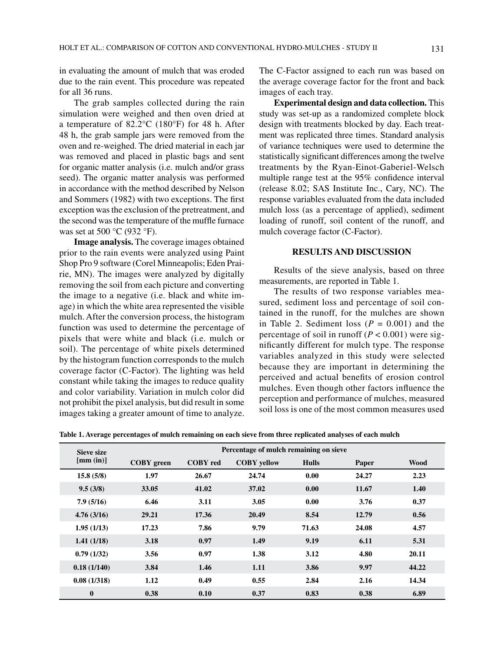in evaluating the amount of mulch that was eroded due to the rain event. This procedure was repeated for all 36 runs.

The grab samples collected during the rain simulation were weighed and then oven dried at a temperature of 82.2°C (180°F) for 48 h. After 48 h, the grab sample jars were removed from the oven and re-weighed. The dried material in each jar was removed and placed in plastic bags and sent for organic matter analysis (i.e. mulch and/or grass seed). The organic matter analysis was performed in accordance with the method described by Nelson and Sommers (1982) with two exceptions. The first exception was the exclusion of the pretreatment, and the second was the temperature of the muffle furnace was set at 500 °C (932 °F).

**Image analysis.** The coverage images obtained prior to the rain events were analyzed using Paint Shop Pro 9 software (Corel Minneapolis; Eden Prairie, MN). The images were analyzed by digitally removing the soil from each picture and converting the image to a negative (i.e. black and white image) in which the white area represented the visible mulch. After the conversion process, the histogram function was used to determine the percentage of pixels that were white and black (i.e. mulch or soil). The percentage of white pixels determined by the histogram function corresponds to the mulch coverage factor (C-Factor). The lighting was held constant while taking the images to reduce quality and color variability. Variation in mulch color did not prohibit the pixel analysis, but did result in some images taking a greater amount of time to analyze.

The C-Factor assigned to each run was based on the average coverage factor for the front and back images of each tray.

**Experimental design and data collection.** This study was set-up as a randomized complete block design with treatments blocked by day. Each treatment was replicated three times. Standard analysis of variance techniques were used to determine the statistically significant differences among the twelve treatments by the Ryan-Einot-Gaberiel-Welsch multiple range test at the 95% confidence interval (release 8.02; SAS Institute Inc., Cary, NC). The response variables evaluated from the data included mulch loss (as a percentage of applied), sediment loading of runoff, soil content of the runoff, and mulch coverage factor (C-Factor).

#### **RESULTS AND DISCUSSION**

Results of the sieve analysis, based on three measurements, are reported in Table 1.

The results of two response variables measured, sediment loss and percentage of soil contained in the runoff, for the mulches are shown in Table 2. Sediment loss  $(P = 0.001)$  and the percentage of soil in runoff  $(P < 0.001)$  were significantly different for mulch type. The response variables analyzed in this study were selected because they are important in determining the perceived and actual benefits of erosion control mulches. Even though other factors influence the perception and performance of mulches, measured soil loss is one of the most common measures used

**Table 1. Average percentages of mulch remaining on each sieve from three replicated analyses of each mulch**

| Sieve size<br>[mm (in)] | Percentage of mulch remaining on sieve |                 |                    |              |       |       |
|-------------------------|----------------------------------------|-----------------|--------------------|--------------|-------|-------|
|                         | <b>COBY</b> green                      | <b>COBY</b> red | <b>COBY</b> yellow | <b>Hulls</b> | Paper | Wood  |
| 15.8(5/8)               | 1.97                                   | 26.67           | 24.74              | 0.00         | 24.27 | 2.23  |
| 9.5(3/8)                | 33.05                                  | 41.02           | 37.02              | 0.00         | 11.67 | 1.40  |
| 7.9(5/16)               | 6.46                                   | 3.11            | 3.05               | 0.00         | 3.76  | 0.37  |
| 4.76(3/16)              | 29.21                                  | 17.36           | 20.49              | 8.54         | 12.79 | 0.56  |
| 1.95(1/13)              | 17.23                                  | 7.86            | 9.79               | 71.63        | 24.08 | 4.57  |
| 1.41(1/18)              | 3.18                                   | 0.97            | 1.49               | 9.19         | 6.11  | 5.31  |
| 0.79(1/32)              | 3.56                                   | 0.97            | 1.38               | 3.12         | 4.80  | 20.11 |
| 0.18(1/140)             | 3.84                                   | 1.46            | 1.11               | 3.86         | 9.97  | 44.22 |
| 0.08(1/318)             | 1.12                                   | 0.49            | 0.55               | 2.84         | 2.16  | 14.34 |
| $\bf{0}$                | 0.38                                   | 0.10            | 0.37               | 0.83         | 0.38  | 6.89  |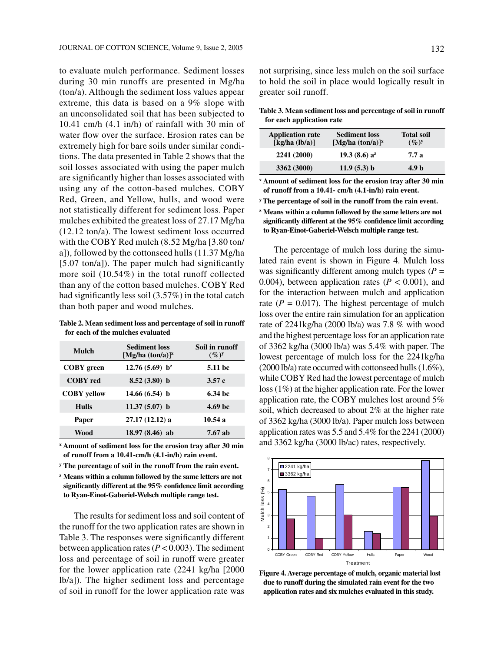to evaluate mulch performance. Sediment losses during 30 min runoffs are presented in Mg/ha (ton/a). Although the sediment loss values appear extreme, this data is based on a 9% slope with an unconsolidated soil that has been subjected to 10.41 cm/h (4.1 in/h) of rainfall with 30 min of water flow over the surface. Erosion rates can be extremely high for bare soils under similar conditions. The data presented in Table 2 shows that the soil losses associated with using the paper mulch are significantly higher than losses associated with using any of the cotton-based mulches. COBY Red, Green, and Yellow, hulls, and wood were not statistically different for sediment loss. Paper mulches exhibited the greatest loss of 27.17 Mg/ha (12.12 ton/a). The lowest sediment loss occurred with the COBY Red mulch (8.52 Mg/ha [3.80 ton/ a]), followed by the cottonseed hulls (11.37 Mg/ha [5.07 ton/a]). The paper mulch had significantly more soil (10.54%) in the total runoff collected than any of the cotton based mulches. COBY Red had significantly less soil (3.57%) in the total catch than both paper and wood mulches.

**Table 2. Mean sediment loss and percentage of soil in runoff for each of the mulches evaluated**

| Mulch              | <b>Sediment loss</b><br>$[Mg/ha (ton/a)]^x$ | Soil in runoff<br>$(\%)^y$ |  |
|--------------------|---------------------------------------------|----------------------------|--|
| <b>COBY</b> green  | 12.76 (5.69) $b^z$                          | 5.11 bc                    |  |
| <b>COBY</b> red    | $8.52(3.80)$ b                              | 3.57c                      |  |
| <b>COBY</b> vellow | $14.66(6.54)$ b                             | 6.34 <sub>bc</sub>         |  |
| Hulls              | $11.37(5.07)$ b                             | 4.69 <sub>bc</sub>         |  |
| Paper              | 27.17 (12.12) a                             | 10.54a                     |  |
| Wood               | $18.97(8.46)$ ab                            | 7.67 ab                    |  |

**x Amount of sediment loss for the erosion tray after 30 min of runoff from a 10.41-cm/h (4.1-in/h) rain event.**

**y The percentage of soil in the runoff from the rain event.**

**z Means within a column followed by the same letters are not significantly different at the 95% confidence limit according to Ryan-Einot-Gaberiel-Welsch multiple range test.**

The results for sediment loss and soil content of the runoff for the two application rates are shown in Table 3. The responses were significantly different between application rates  $(P < 0.003)$ . The sediment loss and percentage of soil in runoff were greater for the lower application rate (2241 kg/ha [2000 lb/a]). The higher sediment loss and percentage of soil in runoff for the lower application rate was

not surprising, since less mulch on the soil surface to hold the soil in place would logically result in greater soil runoff.

**Table 3. Mean sediment loss and percentage of soil in runoff for each application rate**

| <b>Application rate</b><br>[kg/ha (lb/a)] | <b>Sediment loss</b><br>$[Mg/ha (ton/a)]^x$ | <b>Total soil</b><br>$(\%)^y$ |
|-------------------------------------------|---------------------------------------------|-------------------------------|
| 2241 (2000)                               | 19.3(8.6) a <sup>z</sup>                    | 7.7 а                         |
| 3362 (3000)                               | 11.9(5.3) b                                 | 4.9 h                         |

**x Amount of sediment loss for the erosion tray after 30 min of runoff from a 10.41- cm/h (4.1-in/h) rain event.**

**y The percentage of soil in the runoff from the rain event.**

**z Means within a column followed by the same letters are not significantly different at the 95% confidence limit according to Ryan-Einot-Gaberiel-Welsch multiple range test.**

The percentage of mulch loss during the simulated rain event is shown in Figure 4. Mulch loss was significantly different among mulch types ( $P =$ 0.004), between application rates  $(P < 0.001)$ , and for the interaction between mulch and application rate  $(P = 0.017)$ . The highest percentage of mulch loss over the entire rain simulation for an application rate of 2241kg/ha (2000 lb/a) was 7.8 % with wood and the highest percentage loss for an application rate of 3362 kg/ha (3000 lb/a) was 5.4% with paper. The lowest percentage of mulch loss for the 2241kg/ha (2000 lb/a) rate occurred with cottonseed hulls (1.6%), while COBY Red had the lowest percentage of mulch loss (1%) at the higher application rate. For the lower application rate, the COBY mulches lost around 5% soil, which decreased to about 2% at the higher rate of 3362 kg/ha (3000 lb/a). Paper mulch loss between application rates was 5.5 and 5.4% for the 2241 (2000) and 3362 kg/ha (3000 lb/ac) rates, respectively.



**Figure 4. Average percentage of mulch, organic material lost due to runoff during the simulated rain event for the two application rates and six mulches evaluated in this study.**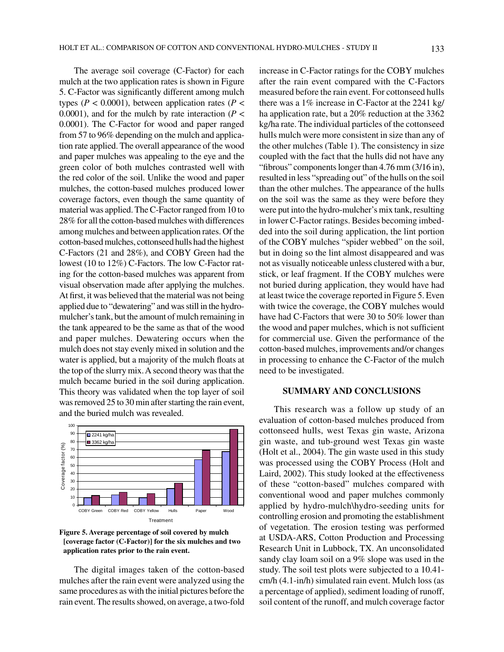The average soil coverage (C-Factor) for each mulch at the two application rates is shown in Figure 5. C-Factor was significantly different among mulch types ( $P < 0.0001$ ), between application rates ( $P <$ 0.0001), and for the mulch by rate interaction ( $P <$ 0.0001). The C-Factor for wood and paper ranged from 57 to 96% depending on the mulch and application rate applied. The overall appearance of the wood and paper mulches was appealing to the eye and the green color of both mulches contrasted well with the red color of the soil. Unlike the wood and paper mulches, the cotton-based mulches produced lower coverage factors, even though the same quantity of material was applied. The C-Factor ranged from 10 to 28% for all the cotton-based mulches with differences among mulches and between application rates. Of the cotton-based mulches, cottonseed hulls had the highest C-Factors (21 and 28%), and COBY Green had the lowest (10 to 12%) C-Factors. The low C-Factor rating for the cotton-based mulches was apparent from visual observation made after applying the mulches. At first, it was believed that the material was not being applied due to "dewatering" and was still in the hydromulcher's tank, but the amount of mulch remaining in the tank appeared to be the same as that of the wood and paper mulches. Dewatering occurs when the mulch does not stay evenly mixed in solution and the water is applied, but a majority of the mulch floats at the top of the slurry mix. A second theory was that the mulch became buried in the soil during application. This theory was validated when the top layer of soil was removed 25 to 30 min after starting the rain event, and the buried mulch was revealed.



**Figure 5. Average percentage of soil covered by mulch [coverage factor (C-Factor)] for the six mulches and two application rates prior to the rain event.**

The digital images taken of the cotton-based mulches after the rain event were analyzed using the same procedures as with the initial pictures before the rain event. The results showed, on average, a two-fold increase in C-Factor ratings for the COBY mulches after the rain event compared with the C-Factors measured before the rain event. For cottonseed hulls there was a 1% increase in C-Factor at the 2241 kg/ ha application rate, but a 20% reduction at the 3362 kg/ha rate. The individual particles of the cottonseed hulls mulch were more consistent in size than any of the other mulches (Table 1). The consistency in size coupled with the fact that the hulls did not have any "fibrous" components longer than 4.76 mm (3/16 in), resulted in less "spreading out" of the hulls on the soil than the other mulches. The appearance of the hulls on the soil was the same as they were before they were put into the hydro-mulcher's mix tank, resulting in lower C-Factor ratings. Besides becoming imbedded into the soil during application, the lint portion of the COBY mulches "spider webbed" on the soil, but in doing so the lint almost disappeared and was not as visually noticeable unless clustered with a bur, stick, or leaf fragment. If the COBY mulches were not buried during application, they would have had at least twice the coverage reported in Figure 5. Even with twice the coverage, the COBY mulches would have had C-Factors that were 30 to 50% lower than the wood and paper mulches, which is not sufficient for commercial use. Given the performance of the cotton-based mulches, improvements and/or changes in processing to enhance the C-Factor of the mulch need to be investigated.

## **SUMMARY AND CONCLUSIONS**

This research was a follow up study of an evaluation of cotton-based mulches produced from cottonseed hulls, west Texas gin waste, Arizona gin waste, and tub-ground west Texas gin waste (Holt et al., 2004). The gin waste used in this study was processed using the COBY Process (Holt and Laird, 2002). This study looked at the effectiveness of these "cotton-based" mulches compared with conventional wood and paper mulches commonly applied by hydro-mulch\hydro-seeding units for controlling erosion and promoting the establishment of vegetation. The erosion testing was performed at USDA-ARS, Cotton Production and Processing Research Unit in Lubbock, TX. An unconsolidated sandy clay loam soil on a 9% slope was used in the study. The soil test plots were subjected to a 10.41 cm/h (4.1-in/h) simulated rain event. Mulch loss (as a percentage of applied), sediment loading of runoff, soil content of the runoff, and mulch coverage factor